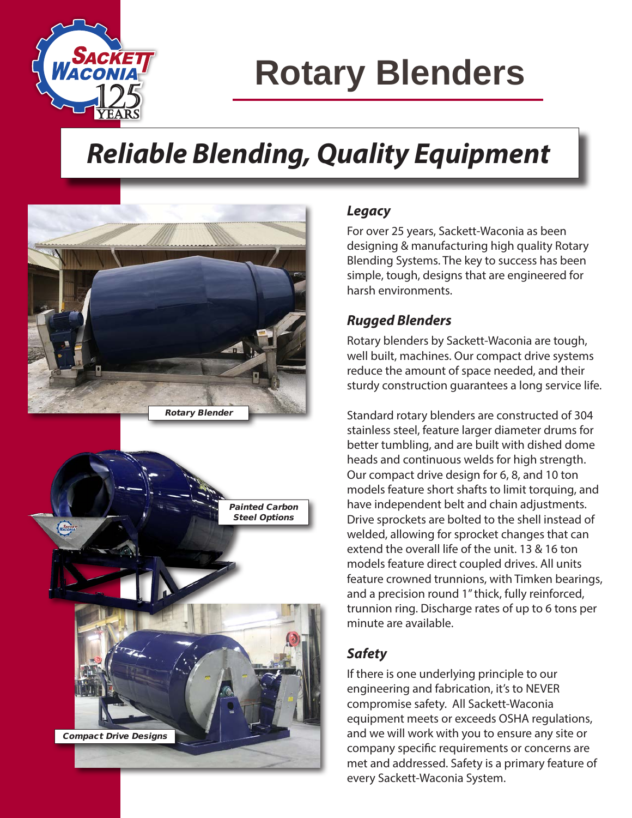

# **Rotary Blenders**

## *Reliable Blending, Quality Equipment*



#### *Legacy*

For over 25 years, Sackett-Waconia as been designing & manufacturing high quality Rotary Blending Systems. The key to success has been simple, tough, designs that are engineered for harsh environments.

#### *Rugged Blenders*

Rotary blenders by Sackett-Waconia are tough, well built, machines. Our compact drive systems reduce the amount of space needed, and their sturdy construction guarantees a long service life.

Standard rotary blenders are constructed of 304 stainless steel, feature larger diameter drums for better tumbling, and are built with dished dome heads and continuous welds for high strength. Our compact drive design for 6, 8, and 10 ton models feature short shafts to limit torquing, and have independent belt and chain adjustments. Drive sprockets are bolted to the shell instead of welded, allowing for sprocket changes that can extend the overall life of the unit. 13 & 16 ton models feature direct coupled drives. All units feature crowned trunnions, with Timken bearings, and a precision round 1" thick, fully reinforced, trunnion ring. Discharge rates of up to 6 tons per minute are available.

### *Safety*

If there is one underlying principle to our engineering and fabrication, it's to NEVER compromise safety. All Sackett-Waconia equipment meets or exceeds OSHA regulations, and we will work with you to ensure any site or company specific requirements or concerns are met and addressed. Safety is a primary feature of every Sackett-Waconia System.